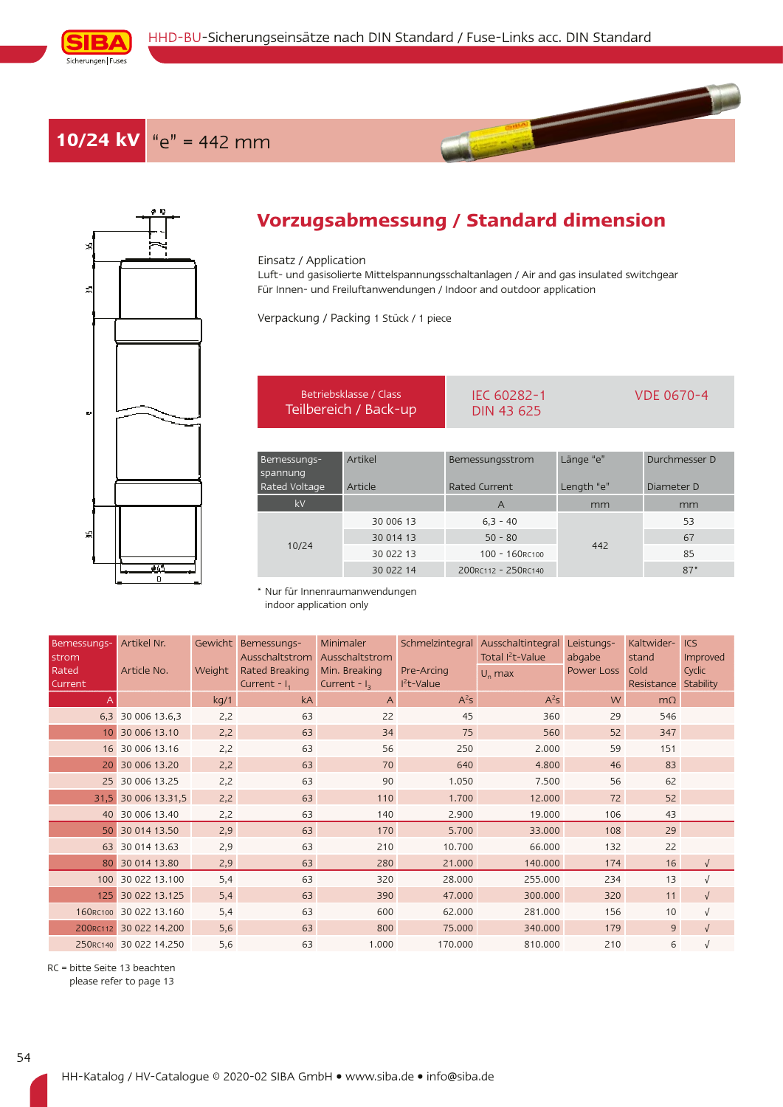

## **10/24 kV** "e" = 442 mm



## **Vorzugsabmessung / Standard dimension**

## Einsatz / Application

Luft- und gasisolierte Mittelspannungsschaltanlagen / Air and gas insulated switchgear Für Innen- und Freiluftanwendungen / Indoor and outdoor application

Verpackung / Packing 1 Stück / 1 piece

|                                          | Betriebsklasse / Class<br>Teilbereich / Back-up | IEC 60282-1<br>DIN 43 625        | <b>VDE 0670-4</b>       |                             |  |
|------------------------------------------|-------------------------------------------------|----------------------------------|-------------------------|-----------------------------|--|
|                                          |                                                 |                                  |                         |                             |  |
| Bemessungs-<br>spannung<br>Rated Voltage | Artikel<br>Article                              | Bemessungsstrom<br>Rated Current | Länge "e"<br>Length "e" | Durchmesser D<br>Diameter D |  |
| kV                                       |                                                 | $\mathsf{A}$                     | mm                      | mm                          |  |
|                                          | 30 006 13                                       | $6.3 - 40$                       |                         | 53                          |  |
|                                          | 30 014 13                                       | $50 - 80$                        | 442                     | 67                          |  |
| 10/24                                    | 30 022 13                                       | 100 - 160RC100                   |                         | 85                          |  |
|                                          | 30 022 14                                       | 200RC112 - 250RC140              |                         | $87*$                       |  |

\* Nur für Innenraumanwendungen indoor application only

| Bemessungs-<br>strom | Artikel Nr.            | Gewicht | Bemessungs-<br>Ausschaltstrom     | Minimaler<br>Ausschaltstrom      | Schmelzintegral           | Ausschaltintegral<br>Total I <sup>2</sup> t-Value | Leistungs-<br>abgabe | Kaltwider-<br>stand | <b>ICS</b><br>Improved |
|----------------------|------------------------|---------|-----------------------------------|----------------------------------|---------------------------|---------------------------------------------------|----------------------|---------------------|------------------------|
| Rated<br>Current     | Article No.            | Weight  | Rated Breaking<br>Current - $I_1$ | Min. Breaking<br>Current - $I_3$ | Pre-Arcing<br>$I2t-Value$ | $U_n$ max                                         | Power Loss           | Cold<br>Resistance  | Cyclic<br>Stability    |
|                      |                        | kq/1    | kA                                | $\overline{A}$                   | $A^2S$                    | $A^2S$                                            | W.                   | $m\Omega$           |                        |
|                      | 6,3 30 006 13.6,3      | 2,2     | 63                                | 22                               | 45                        | 360                                               | 29                   | 546                 |                        |
| 10 <sup>1</sup>      | 30 006 13.10           | 2,2     | 63                                | 34                               | 75                        | 560                                               | 52                   | 347                 |                        |
|                      | 16 30 006 13.16        | 2,2     | 63                                | 56                               | 250                       | 2.000                                             | 59                   | 151                 |                        |
| 20 <sup>1</sup>      | 30 006 13.20           | 2,2     | 63                                | 70                               | 640                       | 4.800                                             | 46                   | 83                  |                        |
|                      | 25 30 006 13.25        | 2,2     | 63                                | 90                               | 1.050                     | 7.500                                             | 56                   | 62                  |                        |
|                      | 31,5 30 006 13.31,5    | 2,2     | 63                                | 110                              | 1.700                     | 12.000                                            | 72                   | 52                  |                        |
|                      | 40 30 006 13.40        | 2,2     | 63                                | 140                              | 2.900                     | 19.000                                            | 106                  | 43                  |                        |
|                      | 50 30 014 13.50        | 2,9     | 63                                | 170                              | 5.700                     | 33.000                                            | 108                  | 29                  |                        |
|                      | 63 30 014 13.63        | 2,9     | 63                                | 210                              | 10.700                    | 66.000                                            | 132                  | 22                  |                        |
|                      | 80 30 014 13.80        | 2,9     | 63                                | 280                              | 21.000                    | 140.000                                           | 174                  | 16                  | $\sqrt{ }$             |
|                      | 100 30 022 13,100      | 5,4     | 63                                | 320                              | 28.000                    | 255.000                                           | 234                  | 13                  | $\sqrt{ }$             |
| 125                  | 30 022 13.125          | 5,4     | 63                                | 390                              | 47.000                    | 300.000                                           | 320                  | 11                  | $\sqrt{ }$             |
|                      | 160RC100 30 022 13.160 | 5,4     | 63                                | 600                              | 62.000                    | 281.000                                           | 156                  | 10                  | $\sqrt{ }$             |
|                      | 200RC112 30 022 14.200 | 5,6     | 63                                | 800                              | 75.000                    | 340.000                                           | 179                  | 9                   | $\sqrt{ }$             |
|                      | 250RC140 30 022 14.250 | 5,6     | 63                                | 1.000                            | 170.000                   | 810.000                                           | 210                  | 6                   |                        |

RC = bitte Seite 13 beachten please refer to page 13